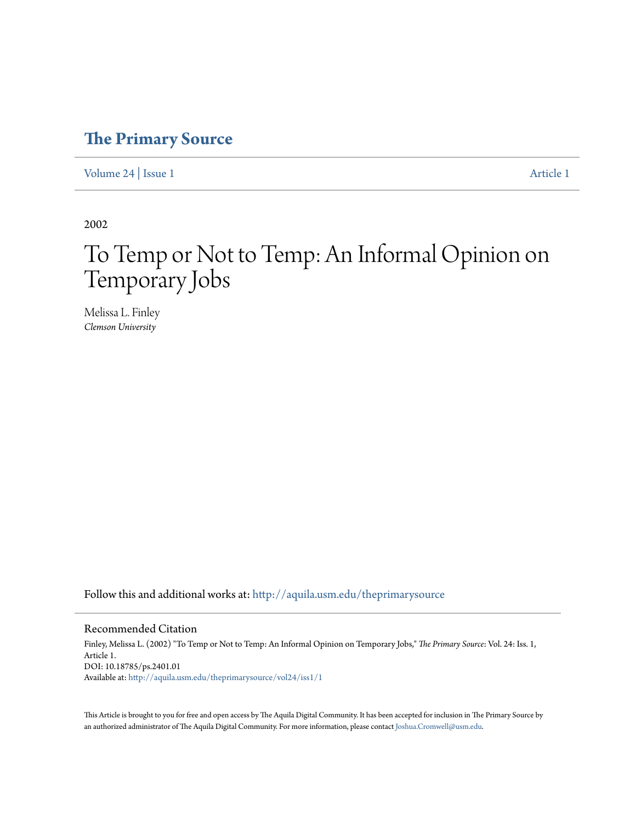## **[The Primary Source](http://aquila.usm.edu/theprimarysource?utm_source=aquila.usm.edu%2Ftheprimarysource%2Fvol24%2Fiss1%2F1&utm_medium=PDF&utm_campaign=PDFCoverPages)**

[Volume 24](http://aquila.usm.edu/theprimarysource/vol24?utm_source=aquila.usm.edu%2Ftheprimarysource%2Fvol24%2Fiss1%2F1&utm_medium=PDF&utm_campaign=PDFCoverPages) | [Issue 1](http://aquila.usm.edu/theprimarysource/vol24/iss1?utm_source=aquila.usm.edu%2Ftheprimarysource%2Fvol24%2Fiss1%2F1&utm_medium=PDF&utm_campaign=PDFCoverPages) [Article 1](http://aquila.usm.edu/theprimarysource/vol24/iss1/1?utm_source=aquila.usm.edu%2Ftheprimarysource%2Fvol24%2Fiss1%2F1&utm_medium=PDF&utm_campaign=PDFCoverPages)

2002

## To Temp or Not to Temp: An Informal Opinion on Temporary Jobs

Melissa L. Finley *Clemson University*

Follow this and additional works at: [http://aquila.usm.edu/theprimarysource](http://aquila.usm.edu/theprimarysource?utm_source=aquila.usm.edu%2Ftheprimarysource%2Fvol24%2Fiss1%2F1&utm_medium=PDF&utm_campaign=PDFCoverPages)

## Recommended Citation

Finley, Melissa L. (2002) "To Temp or Not to Temp: An Informal Opinion on Temporary Jobs," *The Primary Source*: Vol. 24: Iss. 1, Article 1. DOI: 10.18785/ps.2401.01 Available at: [http://aquila.usm.edu/theprimarysource/vol24/iss1/1](http://aquila.usm.edu/theprimarysource/vol24/iss1/1?utm_source=aquila.usm.edu%2Ftheprimarysource%2Fvol24%2Fiss1%2F1&utm_medium=PDF&utm_campaign=PDFCoverPages)

This Article is brought to you for free and open access by The Aquila Digital Community. It has been accepted for inclusion in The Primary Source by an authorized administrator of The Aquila Digital Community. For more information, please contact [Joshua.Cromwell@usm.edu](mailto:Joshua.Cromwell@usm.edu).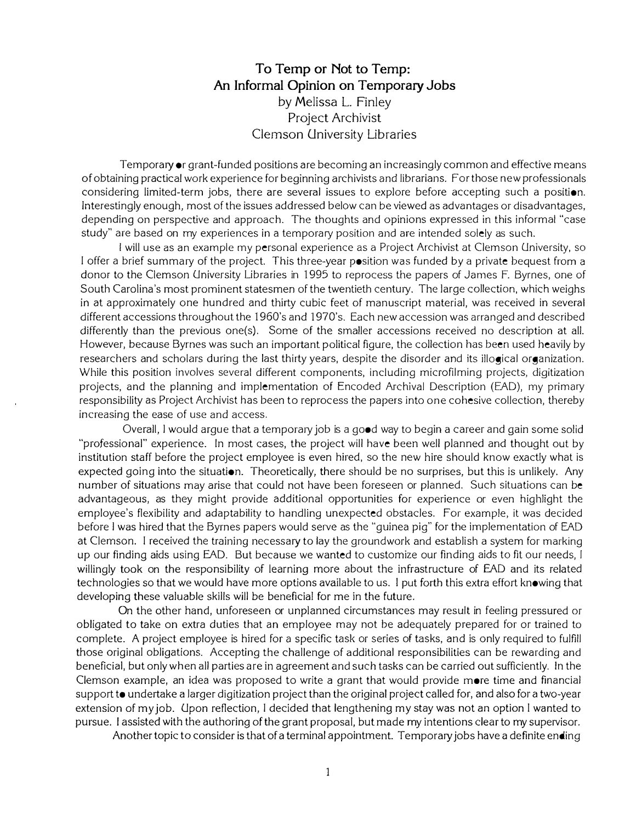## To Temp or Not to Temp: An Informal Opinion on Temporary Jobs by Melissa L. Finley Project Archivist Clemson University Libraries

Temporary or grant-funded positions are becoming an increasingly common and effective means of obtaining practical work experience for beginning archlvlsts and librarians. For those new professionals considering limited-term jobs, there are several issues to explore before accepting such a position. Interestingly enough, most of the issues addressed below can be viewed as advantages or disadvantages, depending on perspective and approach. The thoughts and opinions expressed in this informal "case study" are based on my experiences in a temporary position and are intended solely as such.

I will use as an example my personal experience as a Project Archivist at Clemson University, so I offer a brief summary of the project. This three-year position was funded by a private bequest from a donor to the Clemson University Libraries in 1995 to reprocess the papers of James F. Byrnes, one of South Carolina's most prominent statesmen of the twentieth century. The large collection, which weighs in at approximately one hundred and thirty cubic feet of manuscript material, was received in several different accessions throughout the 1960's and 1970's. Each new accession was arranged and described differently than the previous one(s). Some of the smaller accessions received no description at all. However, because Byrnes was such an important political figure, the collection has been used heavily by researchers and scholars during the last thirty years, despite the disorder and its illogical organization. While this position involves several different components, including microfilming projects, digitization projects, and the planning and implementation of Encoded Archival Description (EAD), my primary responsibility as Project Archivist has been to reprocess the papers into one cohesive collection, thereby increasing the ease of use and access.

Overall, I would argue that a temporary job is a good way to begin a career and gain some solid "professional" experience. In most cases, the project will have been well planned and thought out by institution staff before the project employee is even hired, so the new hire should know exactly what is expected going into the situation. Theoretically, there should be no surprises, but this is unlikely. Any number of situations may arise that could not have been foreseen or planned. Such situations can be advantageous, as they might provide additional opportunities for experience or even highlight the employee's flexibility and adaptability to handling unexpected obstacles. For example, it was decided before I was hired that the Byrnes papers would serve as the "guinea pig" for the implementation of EAD at Clemson. l received the training necessary to lay the groundwork and establish a system for marking up our finding aids using EAD. But because we wanted to customize our finding aids to fit our needs, I willingly took on the responsibility of learning more about the infrastructure of EAD and its related technologies so that we would have more options available to us. I put forth this extra effort knowing that developing these valuable skills will be beneficial for me in the future.

On the other hand, unforeseen or unplanned circumstances may result in feeling pressured or obligated to take on extra duties that an employee may not be adequately prepared for or trained to complete. A project employee is hired for a specific task or series of tasks, and is only required to fulfill those original obligations. Accepting the challenge of additional responsibilities can be rewarding and beneficial, but only when all parties are in agreement and such tasks can be carried out sufficiently. In the Clemson example, an idea was proposed to write a grant that would provide more time and financial support to undertake a larger digitization project than the original project called for, and also for a two-year extension of my job. Upon reflection, I decided that lengthening my stay was not an option I wanted to pursue. I assisted with the authoring of the grant proposal, but made my intentions clear to my supervisor.

Another topic to consider is that of a terminal appointment. Temporary jobs have a definite ending